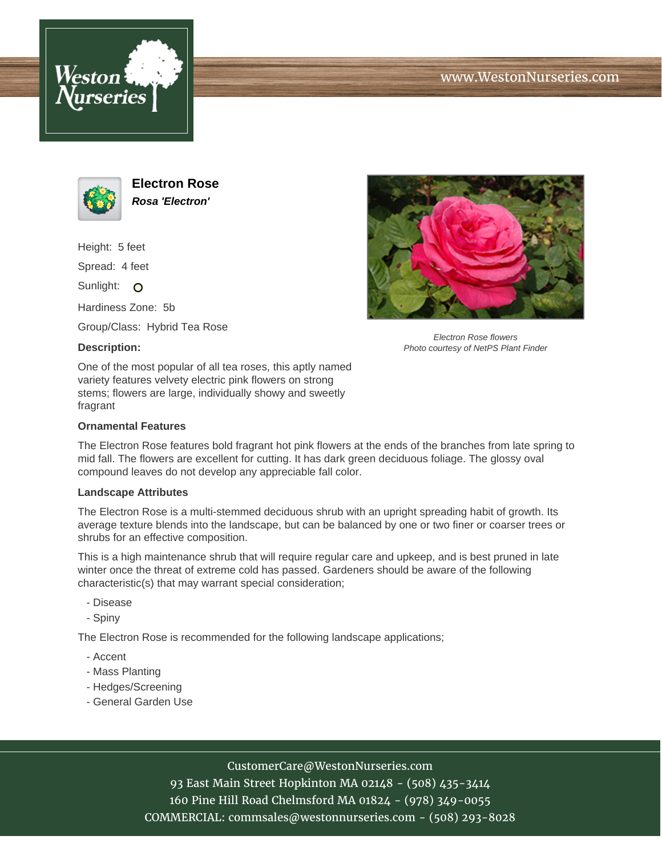



**Electron Rose Rosa 'Electron'**

Height: 5 feet

Spread: 4 feet

Sunlight: O

Hardiness Zone: 5b

Group/Class: Hybrid Tea Rose

### **Description:**



Electron Rose flowers Photo courtesy of NetPS Plant Finder

One of the most popular of all tea roses, this aptly named variety features velvety electric pink flowers on strong stems; flowers are large, individually showy and sweetly fragrant

### **Ornamental Features**

The Electron Rose features bold fragrant hot pink flowers at the ends of the branches from late spring to mid fall. The flowers are excellent for cutting. It has dark green deciduous foliage. The glossy oval compound leaves do not develop any appreciable fall color.

#### **Landscape Attributes**

The Electron Rose is a multi-stemmed deciduous shrub with an upright spreading habit of growth. Its average texture blends into the landscape, but can be balanced by one or two finer or coarser trees or shrubs for an effective composition.

This is a high maintenance shrub that will require regular care and upkeep, and is best pruned in late winter once the threat of extreme cold has passed. Gardeners should be aware of the following characteristic(s) that may warrant special consideration;

- Disease
- Spiny

The Electron Rose is recommended for the following landscape applications;

- Accent
- Mass Planting
- Hedges/Screening
- General Garden Use

# CustomerCare@WestonNurseries.com

93 East Main Street Hopkinton MA 02148 - (508) 435-3414 160 Pine Hill Road Chelmsford MA 01824 - (978) 349-0055 COMMERCIAL: commsales@westonnurseries.com - (508) 293-8028